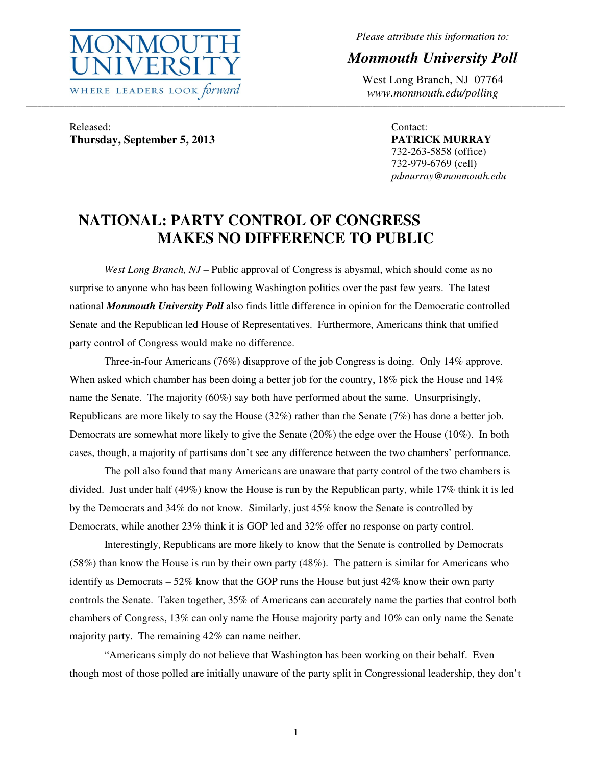

*Please attribute this information to:* 

## *Monmouth University Poll*

West Long Branch, NJ 07764 *www.monmouth.edu/polling* 

Released: **Thursday, September 5, 2013** 

Contact: **PATRICK MURRAY**  732-263-5858 (office) 732-979-6769 (cell) *pdmurray@monmouth.edu* 

## **NATIONAL: PARTY CONTROL OF CONGRESS MAKES NO DIFFERENCE TO PUBLIC**

*West Long Branch, NJ* – Public approval of Congress is abysmal, which should come as no surprise to anyone who has been following Washington politics over the past few years. The latest national *Monmouth University Poll* also finds little difference in opinion for the Democratic controlled Senate and the Republican led House of Representatives. Furthermore, Americans think that unified party control of Congress would make no difference.

,一个人的人都是不是,我们的人都是不是,我们的人都是不是,我们的人都是不是,我们的人都是不是,我们的人都是不是,我们的人都是不是,我们的人都是不是,我们的人都是不

 Three-in-four Americans (76%) disapprove of the job Congress is doing. Only 14% approve. When asked which chamber has been doing a better job for the country, 18% pick the House and 14% name the Senate. The majority (60%) say both have performed about the same. Unsurprisingly, Republicans are more likely to say the House (32%) rather than the Senate (7%) has done a better job. Democrats are somewhat more likely to give the Senate (20%) the edge over the House (10%). In both cases, though, a majority of partisans don't see any difference between the two chambers' performance.

 The poll also found that many Americans are unaware that party control of the two chambers is divided. Just under half (49%) know the House is run by the Republican party, while 17% think it is led by the Democrats and 34% do not know. Similarly, just 45% know the Senate is controlled by Democrats, while another 23% think it is GOP led and 32% offer no response on party control.

 Interestingly, Republicans are more likely to know that the Senate is controlled by Democrats (58%) than know the House is run by their own party (48%). The pattern is similar for Americans who identify as Democrats  $-52\%$  know that the GOP runs the House but just  $42\%$  know their own party controls the Senate. Taken together, 35% of Americans can accurately name the parties that control both chambers of Congress, 13% can only name the House majority party and 10% can only name the Senate majority party. The remaining 42% can name neither.

 "Americans simply do not believe that Washington has been working on their behalf. Even though most of those polled are initially unaware of the party split in Congressional leadership, they don't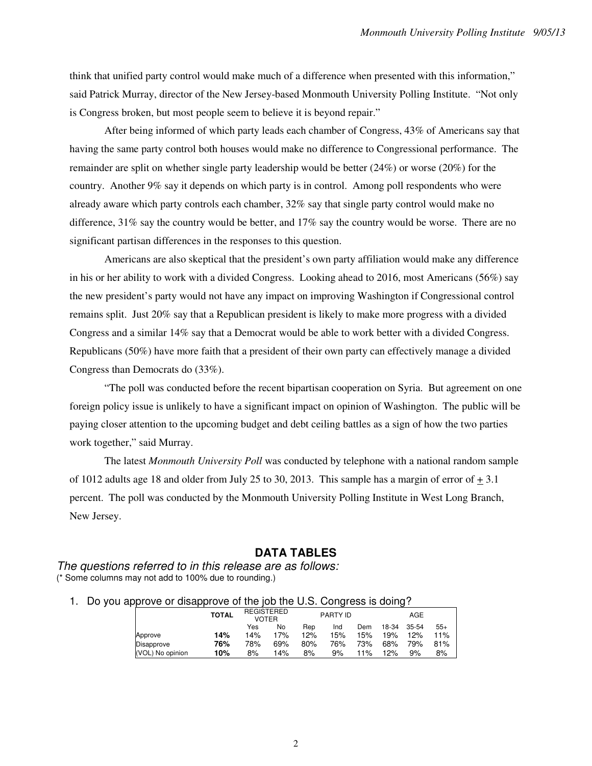think that unified party control would make much of a difference when presented with this information," said Patrick Murray, director of the New Jersey-based Monmouth University Polling Institute. "Not only is Congress broken, but most people seem to believe it is beyond repair."

 After being informed of which party leads each chamber of Congress, 43% of Americans say that having the same party control both houses would make no difference to Congressional performance. The remainder are split on whether single party leadership would be better (24%) or worse (20%) for the country. Another 9% say it depends on which party is in control. Among poll respondents who were already aware which party controls each chamber, 32% say that single party control would make no difference, 31% say the country would be better, and 17% say the country would be worse. There are no significant partisan differences in the responses to this question.

 Americans are also skeptical that the president's own party affiliation would make any difference in his or her ability to work with a divided Congress. Looking ahead to 2016, most Americans (56%) say the new president's party would not have any impact on improving Washington if Congressional control remains split. Just 20% say that a Republican president is likely to make more progress with a divided Congress and a similar 14% say that a Democrat would be able to work better with a divided Congress. Republicans (50%) have more faith that a president of their own party can effectively manage a divided Congress than Democrats do (33%).

 "The poll was conducted before the recent bipartisan cooperation on Syria. But agreement on one foreign policy issue is unlikely to have a significant impact on opinion of Washington. The public will be paying closer attention to the upcoming budget and debt ceiling battles as a sign of how the two parties work together," said Murray.

 The latest *Monmouth University Poll* was conducted by telephone with a national random sample of 1012 adults age 18 and older from July 25 to 30, 2013. This sample has a margin of error of  $+3.1$ percent. The poll was conducted by the Monmouth University Polling Institute in West Long Branch, New Jersey.

## **DATA TABLES**

The questions referred to in this release are as follows: (\* Some columns may not add to 100% due to rounding.)

1. Do you approve or disapprove of the job the U.S. Congress is doing?

|                  | <b>TOTAL</b> | <b>REGISTERED</b><br>VOTER |     |     | <b>PARTY ID</b> |     |       |       |       |
|------------------|--------------|----------------------------|-----|-----|-----------------|-----|-------|-------|-------|
|                  |              | Yes                        | No  | Rep | Ind             | Dem | 18-34 | 35-54 | $55+$ |
| Approve          | 14%          | 14%                        | 17% | 12% | 15%             | 15% | 19%   | 12%   | 11%   |
| Disapprove       | 76%          | 78%                        | 69% | 80% | 76%             | 73% | 68%   | 79%   | 81%   |
| (VOL) No opinion | 10%          | 8%                         | 14% | 8%  | 9%              | 11% | 12%   | 9%    | 8%    |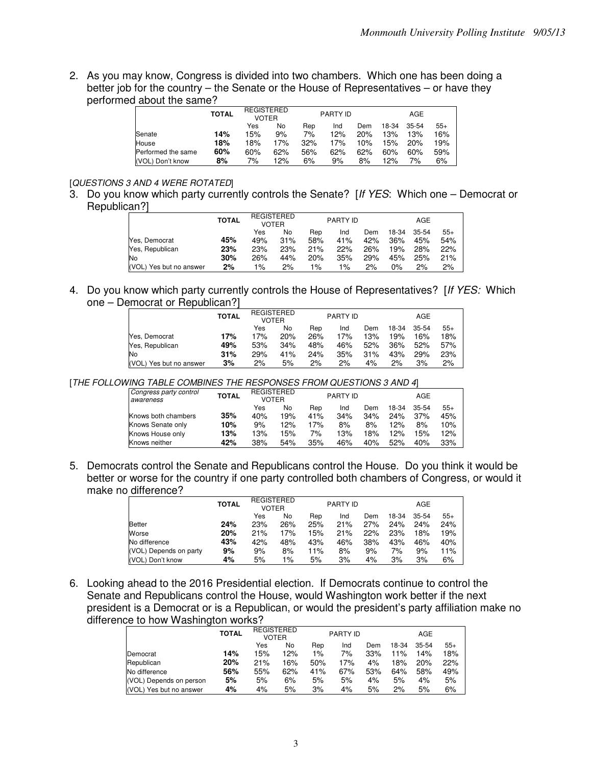2. As you may know, Congress is divided into two chambers. Which one has been doing a better job for the country – the Senate or the House of Representatives – or have they performed about the same?

|                    | <b>TOTAL</b> |     | <b>REGISTERED</b><br><b>VOTER</b> |     | PARTY ID |     | AGE   |           |       |  |
|--------------------|--------------|-----|-----------------------------------|-----|----------|-----|-------|-----------|-------|--|
|                    |              | Yes | No                                | Rep | Ind      | Dem | 18-34 | $35 - 54$ | $55+$ |  |
| Senate             | 14%          | 15% | 9%                                | 7%  | 12%      | 20% | 13%   | 13%       | 16%   |  |
| House              | 18%          | 18% | 17%                               | 32% | 17%      | 10% | 15%   | 20%       | 19%   |  |
| Performed the same | 60%          | 60% | 62%                               | 56% | 62%      | 62% | 60%   | 60%       | 59%   |  |
| (VOL) Don't know   | 8%           | 7%  | 12%                               | 6%  | 9%       | 8%  | 12%   | 7%        | 6%    |  |

## [QUESTIONS 3 AND 4 WERE ROTATED]

3. Do you know which party currently controls the Senate? [If YES: Which one – Democrat or Republican?]

|                            | <b>TOTAL</b> | <b>REGISTERED</b><br>VOTER |     |     | <b>PARTY ID</b> |     |       | AGE       |       |
|----------------------------|--------------|----------------------------|-----|-----|-----------------|-----|-------|-----------|-------|
|                            |              | Yes                        | No  | Rep | Ind             | Dem | 18-34 | $35 - 54$ | $55+$ |
| Yes, Democrat              | 45%          | 49%                        | 31% | 58% | 41%             | 42% | 36%   | 45%       | 54%   |
| Yes, Republican            | 23%          | 23%                        | 23% | 21% | 22%             | 26% | 19%   | 28%       | 22%   |
| lNo                        | 30%          | 26%                        | 44% | 20% | 35%             | 29% | 45%   | 25%       | 21%   |
| (VOL)<br>Yes but no answer | 2%           | 1%                         | 2%  | 1%  | $1\%$           | 2%  | $0\%$ | 2%        | 2%    |

4. Do you know which party currently controls the House of Representatives? [If YES: Which one – Democrat or Republican?]

|                         | <b>TOTAL</b> | <b>REGISTERED</b><br><b>VOTER</b> |     | <b>PARTY ID</b> |     |     | AGE   |           |       |
|-------------------------|--------------|-----------------------------------|-----|-----------------|-----|-----|-------|-----------|-------|
|                         |              | Yes                               | No  | Rep             | Ind | Dem | 18-34 | $35 - 54$ | $55+$ |
| Yes. Democrat           | 17%          | 17%                               | 20% | 26%             | 17% | 13% | 19%   | 16%       | 18%   |
| Yes, Republican         | 49%          | 53%                               | 34% | 48%             | 46% | 52% | 36%   | 52%       | 57%   |
| No                      | 31%          | 29%                               | 41% | 24%             | 35% | 31% | 43%   | 29%       | 23%   |
| (VOL) Yes but no answer | 3%           | 2%                                | 5%  | 2%              | 2%  | 4%  | 2%    | 3%        | 2%    |

[THE FOLLOWING TABLE COMBINES THE RESPONSES FROM QUESTIONS 3 AND 4]

| Congress party control<br>awareness | <b>TOTAL</b> | <b>REGISTERED</b><br><b>VOTER</b> |     |     | <b>PARTY ID</b> |     | AGE   |       |       |  |
|-------------------------------------|--------------|-----------------------------------|-----|-----|-----------------|-----|-------|-------|-------|--|
|                                     |              | Yes                               | No  | Rep | Ind             | Dem | 18-34 | 35-54 | $55+$ |  |
| Knows both chambers                 | 35%          | 40%                               | 19% | 41% | 34%             | 34% | 24%   | 37%   | 45%   |  |
| Knows Senate only                   | 10%          | 9%                                | 12% | 17% | 8%              | 8%  | 12%   | 8%    | 10%   |  |
| Knows House only                    | 13%          | 13%                               | 15% | 7%  | 13%             | 18% | 12%   | 15%   | 12%   |  |
| Knows neither                       | 42%          | 38%                               | 54% | 35% | 46%             | 40% | 52%   | 40%   | 33%   |  |

5. Democrats control the Senate and Republicans control the House. Do you think it would be better or worse for the country if one party controlled both chambers of Congress, or would it make no difference?

|                        | <b>TOTAL</b> | <b>REGISTERED</b><br><b>VOTER</b> |       |     | PARTY ID |     |       | AGE   |       |
|------------------------|--------------|-----------------------------------|-------|-----|----------|-----|-------|-------|-------|
|                        |              | Yes                               | No    | Rep | Ind      | Dem | 18-34 | 35-54 | $55+$ |
| Better                 | 24%          | 23%                               | 26%   | 25% | 21%      | 27% | 24%   | 24%   | 24%   |
| Worse                  | 20%          | 21%                               | 17%   | 15% | 21%      | 22% | 23%   | 18%   | 19%   |
| No difference          | 43%          | 42%                               | 48%   | 43% | 46%      | 38% | 43%   | 46%   | 40%   |
| (VOL) Depends on party | 9%           | 9%                                | 8%    | 11% | 8%       | 9%  | 7%    | 9%    | 11%   |
| (VOL) Don't know       | 4%           | 5%                                | $1\%$ | 5%  | 3%       | 4%  | 3%    | 3%    | 6%    |

6. Looking ahead to the 2016 Presidential election. If Democrats continue to control the Senate and Republicans control the House, would Washington work better if the next president is a Democrat or is a Republican, or would the president's party affiliation make no difference to how Washington works?

|                         | <b>TOTAL</b> | REGISTERED<br><b>VOTER</b> |     |     | <b>PARTY ID</b> |     |       | AGE   |       |
|-------------------------|--------------|----------------------------|-----|-----|-----------------|-----|-------|-------|-------|
|                         |              | Yes                        | No  | Rep | Ind             | Dem | 18-34 | 35-54 | $55+$ |
| Democrat                | 14%          | 15%                        | 12% | 1%  | 7%              | 33% | 11%   | 14%   | 18%   |
| Republican              | 20%          | 21%                        | 16% | 50% | 17%             | 4%  | 18%   | 20%   | 22%   |
| No difference           | 56%          | 55%                        | 62% | 41% | 67%             | 53% | 64%   | 58%   | 49%   |
| (VOL) Depends on person | 5%           | 5%                         | 6%  | 5%  | 5%              | 4%  | 5%    | 4%    | 5%    |
| (VOL) Yes but no answer | 4%           | 4%                         | 5%  | 3%  | 4%              | 5%  | 2%    | 5%    | 6%    |